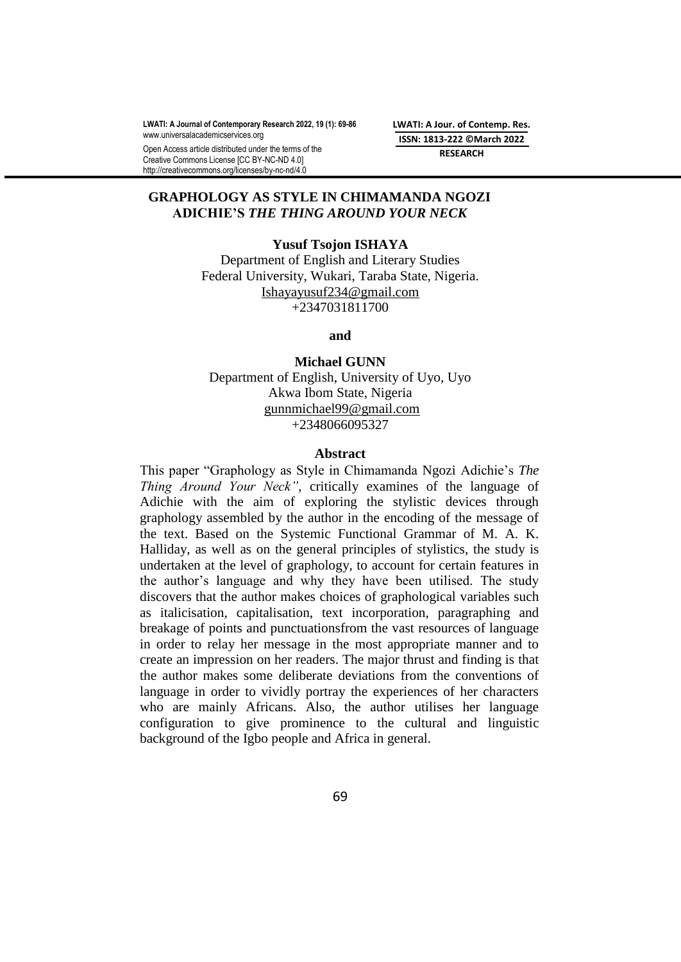**LWATI: A Journal of Contemporary Research 2022, 19 (1): 69-86** [www.universalacademicservices.org](http://www.universalacademicservices.org/)

Open Access article distributed under the terms of the Creative Commons License [CC BY-NC-ND 4.0] http://creativecommons.org/licenses/by-nc-nd/4.0

**LWATI: A Jour. of Contemp. Res. ISSN: 1813-222 ©March 2022 RESEARCH**

## **GRAPHOLOGY AS STYLE IN CHIMAMANDA NGOZI ADICHIE'S** *THE THING AROUND YOUR NECK*

### **Yusuf Tsojon ISHAYA**

Department of English and Literary Studies Federal University, Wukari, Taraba State, Nigeria. [Ishayayusuf234@gmail.com](mailto:Ishayayusuf234@gmail.com) +2347031811700

#### **and**

**Michael GUNN** Department of English, University of Uyo, Uyo Akwa Ibom State, Nigeria [gunnmichael99@gmail.com](mailto:gunnmichael99@gmail.com) +2348066095327

#### **Abstract**

This paper "Graphology as Style in Chimamanda Ngozi Adichie"s *The Thing Around Your Neck",* critically examines of the language of Adichie with the aim of exploring the stylistic devices through graphology assembled by the author in the encoding of the message of the text. Based on the Systemic Functional Grammar of M. A. K. Halliday, as well as on the general principles of stylistics, the study is undertaken at the level of graphology, to account for certain features in the author"s language and why they have been utilised. The study discovers that the author makes choices of graphological variables such as italicisation, capitalisation, text incorporation, paragraphing and breakage of points and punctuationsfrom the vast resources of language in order to relay her message in the most appropriate manner and to create an impression on her readers. The major thrust and finding is that the author makes some deliberate deviations from the conventions of language in order to vividly portray the experiences of her characters who are mainly Africans. Also, the author utilises her language configuration to give prominence to the cultural and linguistic background of the Igbo people and Africa in general.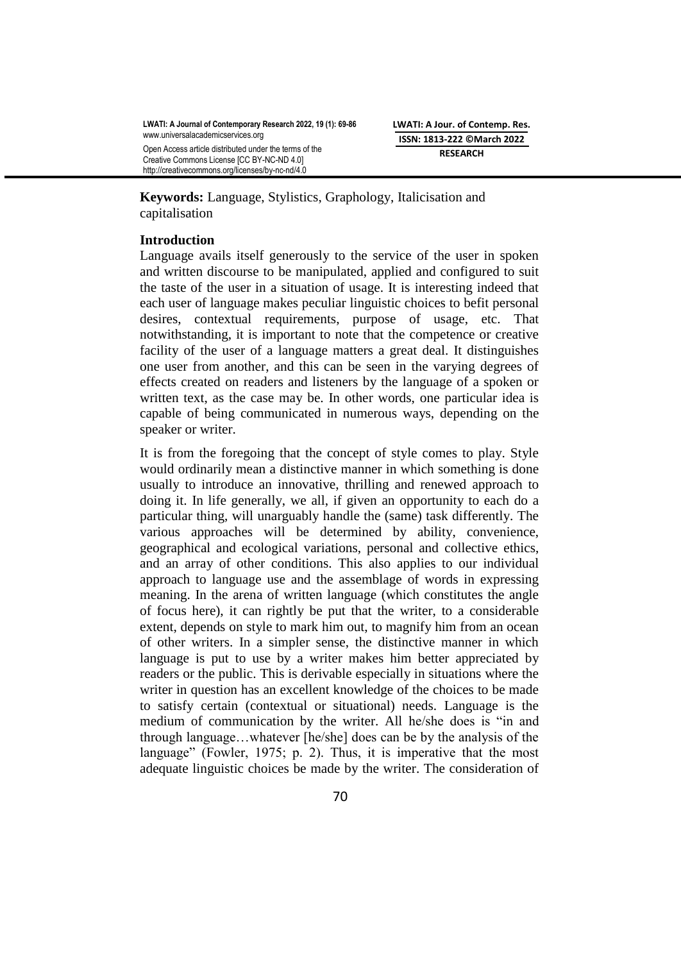**Keywords:** Language, Stylistics, Graphology, Italicisation and capitalisation

## **Introduction**

Language avails itself generously to the service of the user in spoken and written discourse to be manipulated, applied and configured to suit the taste of the user in a situation of usage. It is interesting indeed that each user of language makes peculiar linguistic choices to befit personal desires, contextual requirements, purpose of usage, etc. That notwithstanding, it is important to note that the competence or creative facility of the user of a language matters a great deal. It distinguishes one user from another, and this can be seen in the varying degrees of effects created on readers and listeners by the language of a spoken or written text, as the case may be. In other words, one particular idea is capable of being communicated in numerous ways, depending on the speaker or writer.

It is from the foregoing that the concept of style comes to play. Style would ordinarily mean a distinctive manner in which something is done usually to introduce an innovative, thrilling and renewed approach to doing it. In life generally, we all, if given an opportunity to each do a particular thing, will unarguably handle the (same) task differently. The various approaches will be determined by ability, convenience, geographical and ecological variations, personal and collective ethics, and an array of other conditions. This also applies to our individual approach to language use and the assemblage of words in expressing meaning. In the arena of written language (which constitutes the angle of focus here), it can rightly be put that the writer, to a considerable extent, depends on style to mark him out, to magnify him from an ocean of other writers. In a simpler sense, the distinctive manner in which language is put to use by a writer makes him better appreciated by readers or the public. This is derivable especially in situations where the writer in question has an excellent knowledge of the choices to be made to satisfy certain (contextual or situational) needs. Language is the medium of communication by the writer. All he/she does is "in and through language…whatever [he/she] does can be by the analysis of the language" (Fowler, 1975; p. 2). Thus, it is imperative that the most adequate linguistic choices be made by the writer. The consideration of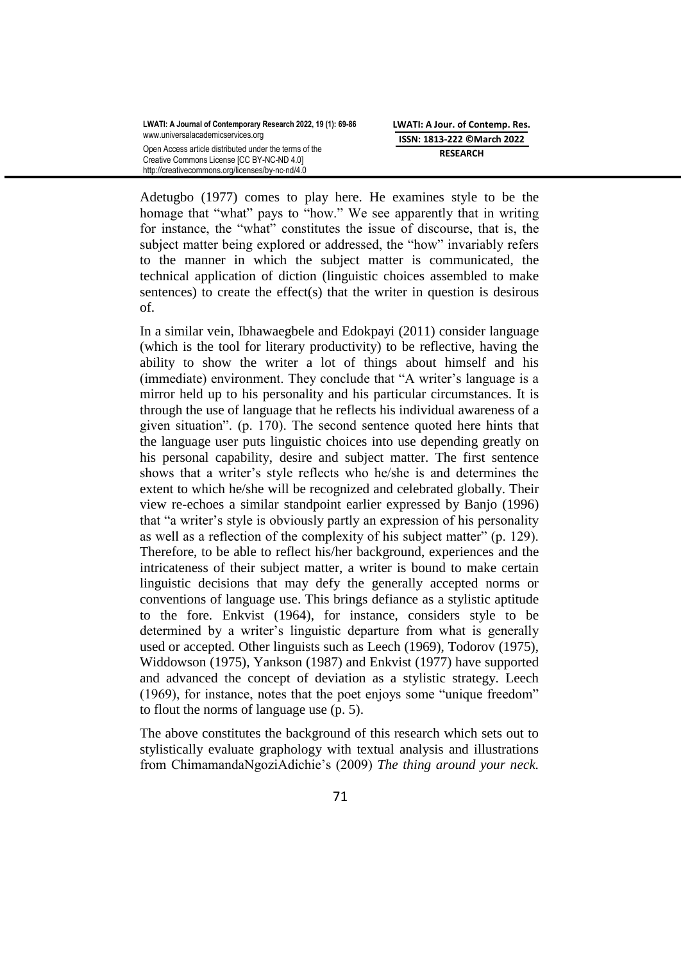Adetugbo (1977) comes to play here. He examines style to be the homage that "what" pays to "how." We see apparently that in writing for instance, the "what" constitutes the issue of discourse, that is, the subject matter being explored or addressed, the "how" invariably refers to the manner in which the subject matter is communicated, the technical application of diction (linguistic choices assembled to make sentences) to create the effect $(s)$  that the writer in question is desirous of.

In a similar vein, Ibhawaegbele and Edokpayi (2011) consider language (which is the tool for literary productivity) to be reflective, having the ability to show the writer a lot of things about himself and his (immediate) environment. They conclude that "A writer's language is a mirror held up to his personality and his particular circumstances. It is through the use of language that he reflects his individual awareness of a given situation". (p. 170). The second sentence quoted here hints that the language user puts linguistic choices into use depending greatly on his personal capability, desire and subject matter. The first sentence shows that a writer"s style reflects who he/she is and determines the extent to which he/she will be recognized and celebrated globally. Their view re-echoes a similar standpoint earlier expressed by Banjo (1996) that "a writer"s style is obviously partly an expression of his personality as well as a reflection of the complexity of his subject matter" (p. 129). Therefore, to be able to reflect his/her background, experiences and the intricateness of their subject matter, a writer is bound to make certain linguistic decisions that may defy the generally accepted norms or conventions of language use. This brings defiance as a stylistic aptitude to the fore. Enkvist (1964), for instance, considers style to be determined by a writer's linguistic departure from what is generally used or accepted. Other linguists such as Leech (1969), Todorov (1975), Widdowson (1975), Yankson (1987) and Enkvist (1977) have supported and advanced the concept of deviation as a stylistic strategy. Leech (1969), for instance, notes that the poet enjoys some "unique freedom" to flout the norms of language use (p. 5).

The above constitutes the background of this research which sets out to stylistically evaluate graphology with textual analysis and illustrations from ChimamandaNgoziAdichie"s (2009) *The thing around your neck.*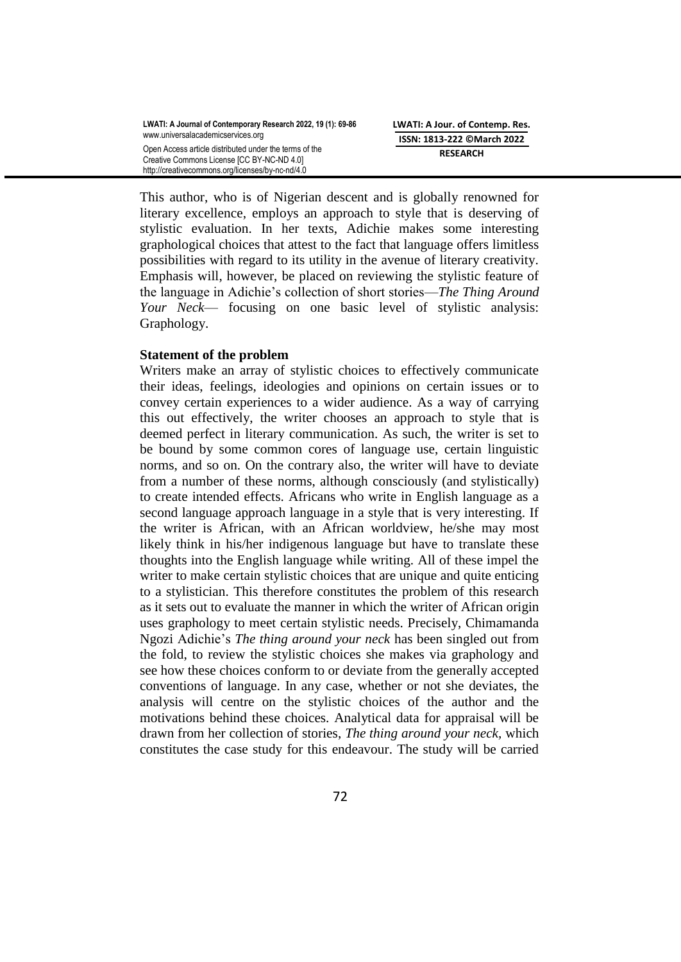This author, who is of Nigerian descent and is globally renowned for literary excellence, employs an approach to style that is deserving of stylistic evaluation. In her texts, Adichie makes some interesting graphological choices that attest to the fact that language offers limitless possibilities with regard to its utility in the avenue of literary creativity. Emphasis will, however, be placed on reviewing the stylistic feature of the language in Adichie"s collection of short stories—*The Thing Around Your Neck*— focusing on one basic level of stylistic analysis: Graphology.

### **Statement of the problem**

Writers make an array of stylistic choices to effectively communicate their ideas, feelings, ideologies and opinions on certain issues or to convey certain experiences to a wider audience. As a way of carrying this out effectively, the writer chooses an approach to style that is deemed perfect in literary communication. As such, the writer is set to be bound by some common cores of language use, certain linguistic norms, and so on. On the contrary also, the writer will have to deviate from a number of these norms, although consciously (and stylistically) to create intended effects. Africans who write in English language as a second language approach language in a style that is very interesting. If the writer is African, with an African worldview, he/she may most likely think in his/her indigenous language but have to translate these thoughts into the English language while writing. All of these impel the writer to make certain stylistic choices that are unique and quite enticing to a stylistician. This therefore constitutes the problem of this research as it sets out to evaluate the manner in which the writer of African origin uses graphology to meet certain stylistic needs. Precisely, Chimamanda Ngozi Adichie"s *The thing around your neck* has been singled out from the fold, to review the stylistic choices she makes via graphology and see how these choices conform to or deviate from the generally accepted conventions of language. In any case, whether or not she deviates, the analysis will centre on the stylistic choices of the author and the motivations behind these choices. Analytical data for appraisal will be drawn from her collection of stories, *The thing around your neck,* which constitutes the case study for this endeavour. The study will be carried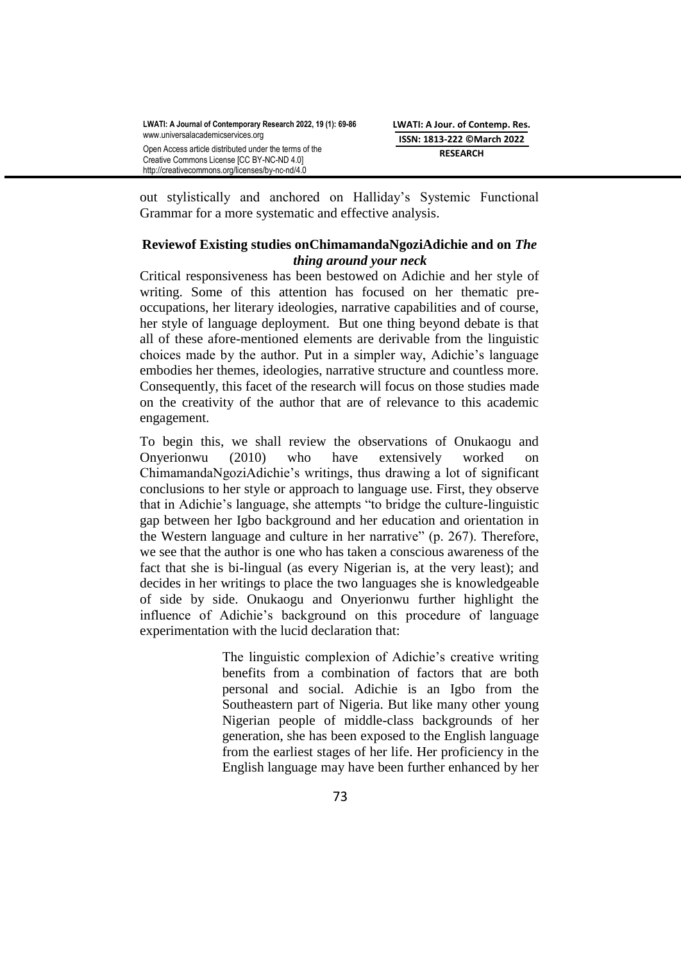out stylistically and anchored on Halliday"s Systemic Functional Grammar for a more systematic and effective analysis.

# **Reviewof Existing studies onChimamandaNgoziAdichie and on** *The thing around your neck*

Critical responsiveness has been bestowed on Adichie and her style of writing. Some of this attention has focused on her thematic preoccupations, her literary ideologies, narrative capabilities and of course, her style of language deployment. But one thing beyond debate is that all of these afore-mentioned elements are derivable from the linguistic choices made by the author. Put in a simpler way, Adichie"s language embodies her themes, ideologies, narrative structure and countless more. Consequently, this facet of the research will focus on those studies made on the creativity of the author that are of relevance to this academic engagement.

To begin this, we shall review the observations of Onukaogu and Onyerionwu (2010) who have extensively worked on ChimamandaNgoziAdichie"s writings, thus drawing a lot of significant conclusions to her style or approach to language use. First, they observe that in Adichie"s language, she attempts "to bridge the culture-linguistic gap between her Igbo background and her education and orientation in the Western language and culture in her narrative" (p. 267). Therefore, we see that the author is one who has taken a conscious awareness of the fact that she is bi-lingual (as every Nigerian is, at the very least); and decides in her writings to place the two languages she is knowledgeable of side by side. Onukaogu and Onyerionwu further highlight the influence of Adichie"s background on this procedure of language experimentation with the lucid declaration that:

> The linguistic complexion of Adichie's creative writing benefits from a combination of factors that are both personal and social. Adichie is an Igbo from the Southeastern part of Nigeria. But like many other young Nigerian people of middle-class backgrounds of her generation, she has been exposed to the English language from the earliest stages of her life. Her proficiency in the English language may have been further enhanced by her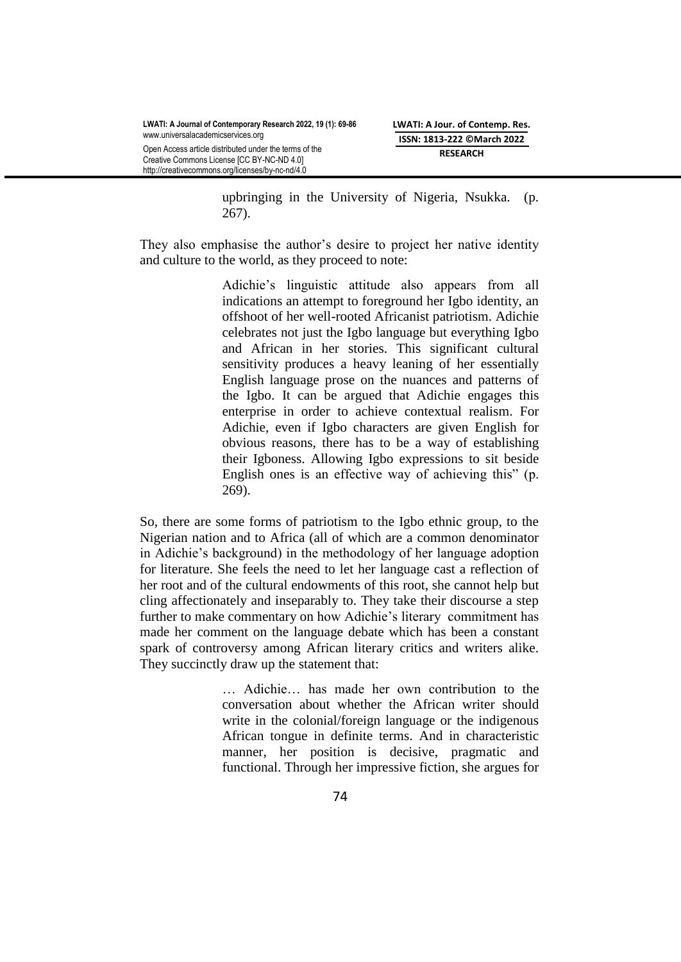upbringing in the University of Nigeria, Nsukka. (p. 267).

They also emphasise the author's desire to project her native identity and culture to the world, as they proceed to note:

> Adichie"s linguistic attitude also appears from all indications an attempt to foreground her Igbo identity, an offshoot of her well-rooted Africanist patriotism. Adichie celebrates not just the Igbo language but everything Igbo and African in her stories. This significant cultural sensitivity produces a heavy leaning of her essentially English language prose on the nuances and patterns of the Igbo. It can be argued that Adichie engages this enterprise in order to achieve contextual realism. For Adichie, even if Igbo characters are given English for obvious reasons, there has to be a way of establishing their Igboness. Allowing Igbo expressions to sit beside English ones is an effective way of achieving this" (p. 269).

So, there are some forms of patriotism to the Igbo ethnic group, to the Nigerian nation and to Africa (all of which are a common denominator in Adichie"s background) in the methodology of her language adoption for literature. She feels the need to let her language cast a reflection of her root and of the cultural endowments of this root, she cannot help but cling affectionately and inseparably to. They take their discourse a step further to make commentary on how Adichie"s literary commitment has made her comment on the language debate which has been a constant spark of controversy among African literary critics and writers alike. They succinctly draw up the statement that:

> … Adichie… has made her own contribution to the conversation about whether the African writer should write in the colonial/foreign language or the indigenous African tongue in definite terms. And in characteristic manner, her position is decisive, pragmatic and functional. Through her impressive fiction, she argues for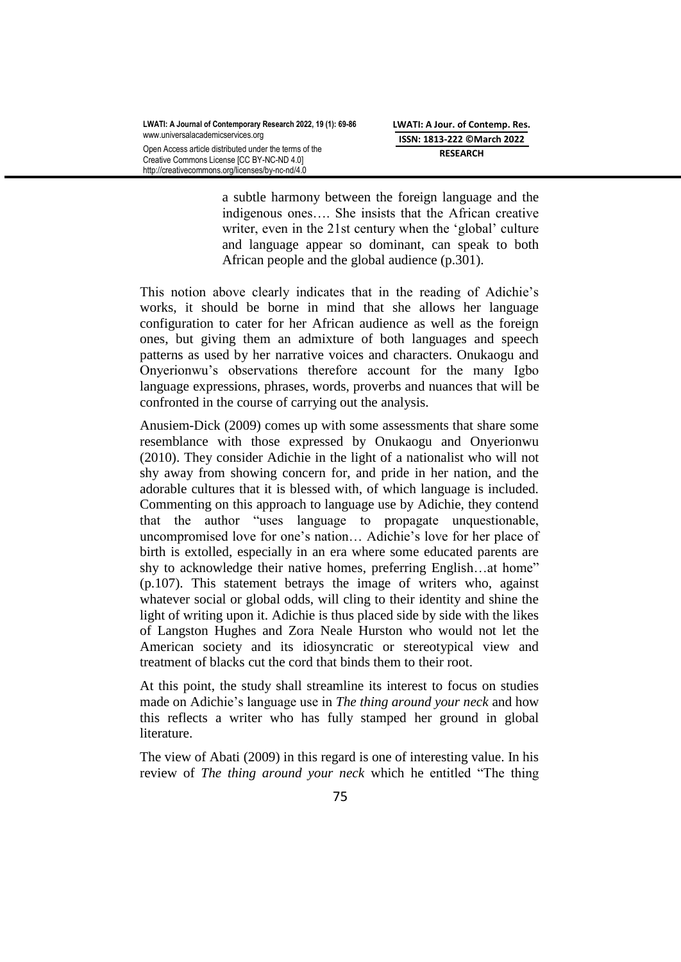http://creativecommons.org/licenses/by-nc-nd/4.0

a subtle harmony between the foreign language and the indigenous ones…. She insists that the African creative writer, even in the 21st century when the 'global' culture and language appear so dominant, can speak to both African people and the global audience (p.301).

This notion above clearly indicates that in the reading of Adichie"s works, it should be borne in mind that she allows her language configuration to cater for her African audience as well as the foreign ones, but giving them an admixture of both languages and speech patterns as used by her narrative voices and characters. Onukaogu and Onyerionwu"s observations therefore account for the many Igbo language expressions, phrases, words, proverbs and nuances that will be confronted in the course of carrying out the analysis.

Anusiem-Dick (2009) comes up with some assessments that share some resemblance with those expressed by Onukaogu and Onyerionwu (2010). They consider Adichie in the light of a nationalist who will not shy away from showing concern for, and pride in her nation, and the adorable cultures that it is blessed with, of which language is included. Commenting on this approach to language use by Adichie, they contend that the author "uses language to propagate unquestionable, uncompromised love for one"s nation… Adichie"s love for her place of birth is extolled, especially in an era where some educated parents are shy to acknowledge their native homes, preferring English…at home" (p.107). This statement betrays the image of writers who, against whatever social or global odds, will cling to their identity and shine the light of writing upon it. Adichie is thus placed side by side with the likes of Langston Hughes and Zora Neale Hurston who would not let the American society and its idiosyncratic or stereotypical view and treatment of blacks cut the cord that binds them to their root.

At this point, the study shall streamline its interest to focus on studies made on Adichie"s language use in *The thing around your neck* and how this reflects a writer who has fully stamped her ground in global literature.

The view of Abati (2009) in this regard is one of interesting value. In his review of *The thing around your neck* which he entitled "The thing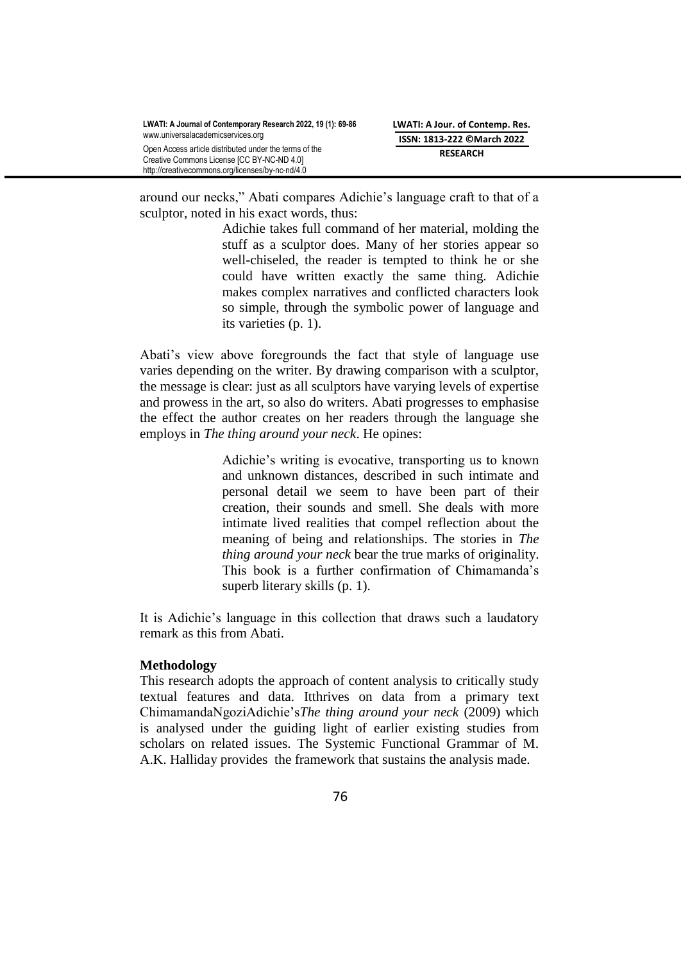around our necks," Abati compares Adichie"s language craft to that of a sculptor, noted in his exact words, thus:

> Adichie takes full command of her material, molding the stuff as a sculptor does. Many of her stories appear so well-chiseled, the reader is tempted to think he or she could have written exactly the same thing. Adichie makes complex narratives and conflicted characters look so simple, through the symbolic power of language and its varieties (p. 1).

Abati"s view above foregrounds the fact that style of language use varies depending on the writer. By drawing comparison with a sculptor, the message is clear: just as all sculptors have varying levels of expertise and prowess in the art, so also do writers. Abati progresses to emphasise the effect the author creates on her readers through the language she employs in *The thing around your neck*. He opines:

> Adichie"s writing is evocative, transporting us to known and unknown distances, described in such intimate and personal detail we seem to have been part of their creation, their sounds and smell. She deals with more intimate lived realities that compel reflection about the meaning of being and relationships. The stories in *The thing around your neck* bear the true marks of originality. This book is a further confirmation of Chimamanda"s superb literary skills (p. 1).

It is Adichie"s language in this collection that draws such a laudatory remark as this from Abati.

### **Methodology**

This research adopts the approach of content analysis to critically study textual features and data. Itthrives on data from a primary text ChimamandaNgoziAdichie"s*The thing around your neck* (2009) which is analysed under the guiding light of earlier existing studies from scholars on related issues. The Systemic Functional Grammar of M. A.K. Halliday provides the framework that sustains the analysis made.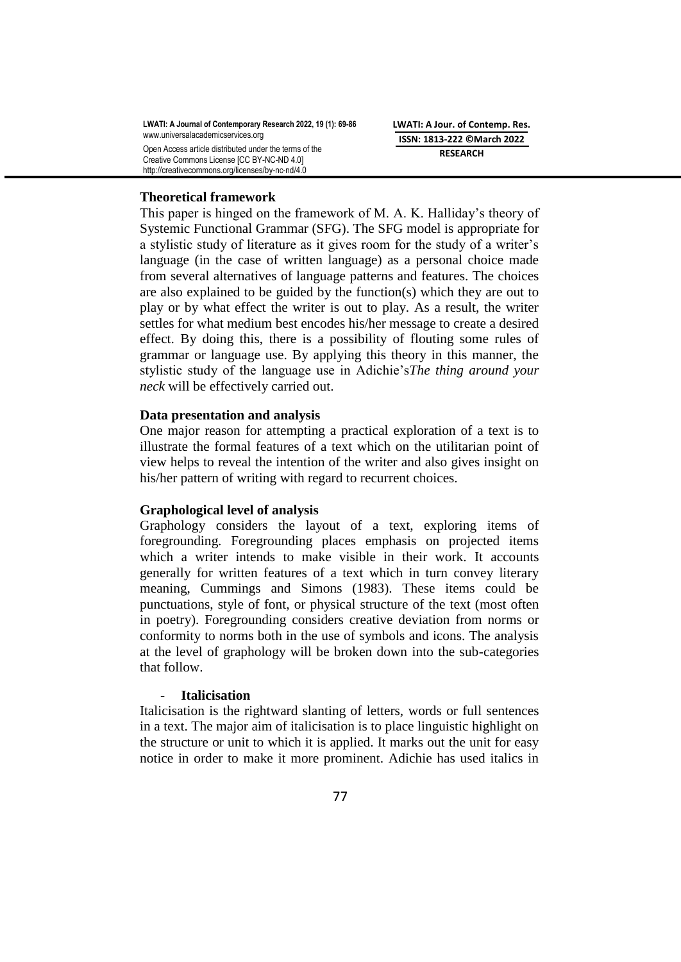**LWATI: A Journal of Contemporary Research 2022, 19 (1): 69-86** [www.universalacademicservices.org](http://www.universalacademicservices.org/) Open Access article distributed under the terms of the Creative Commons License [CC BY-NC-ND 4.0]

**LWATI: A Jour. of Contemp. Res. ISSN: 1813-222 ©March 2022 RESEARCH**

### **Theoretical framework**

http://creativecommons.org/licenses/by-nc-nd/4.0

This paper is hinged on the framework of M. A. K. Halliday"s theory of Systemic Functional Grammar (SFG). The SFG model is appropriate for a stylistic study of literature as it gives room for the study of a writer"s language (in the case of written language) as a personal choice made from several alternatives of language patterns and features. The choices are also explained to be guided by the function(s) which they are out to play or by what effect the writer is out to play. As a result, the writer settles for what medium best encodes his/her message to create a desired effect. By doing this, there is a possibility of flouting some rules of grammar or language use. By applying this theory in this manner, the stylistic study of the language use in Adichie"s*The thing around your neck* will be effectively carried out.

### **Data presentation and analysis**

One major reason for attempting a practical exploration of a text is to illustrate the formal features of a text which on the utilitarian point of view helps to reveal the intention of the writer and also gives insight on his/her pattern of writing with regard to recurrent choices.

## **Graphological level of analysis**

Graphology considers the layout of a text, exploring items of foregrounding. Foregrounding places emphasis on projected items which a writer intends to make visible in their work. It accounts generally for written features of a text which in turn convey literary meaning, Cummings and Simons (1983). These items could be punctuations, style of font, or physical structure of the text (most often in poetry). Foregrounding considers creative deviation from norms or conformity to norms both in the use of symbols and icons. The analysis at the level of graphology will be broken down into the sub-categories that follow.

### - **Italicisation**

Italicisation is the rightward slanting of letters, words or full sentences in a text. The major aim of italicisation is to place linguistic highlight on the structure or unit to which it is applied. It marks out the unit for easy notice in order to make it more prominent. Adichie has used italics in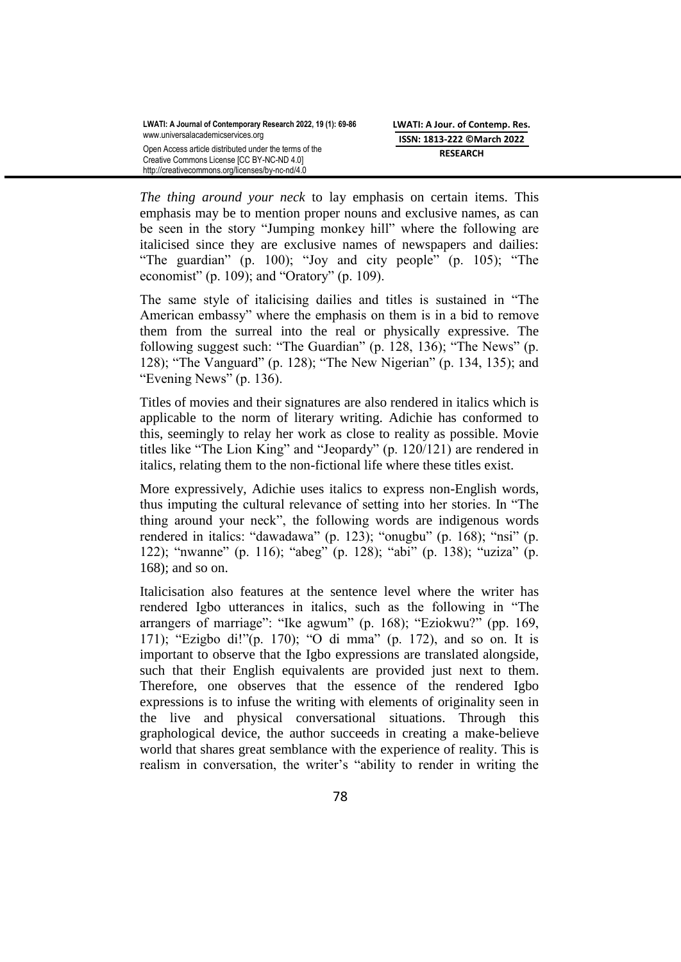*The thing around your neck* to lay emphasis on certain items. This emphasis may be to mention proper nouns and exclusive names, as can be seen in the story "Jumping monkey hill" where the following are italicised since they are exclusive names of newspapers and dailies: "The guardian" (p. 100); "Joy and city people" (p. 105); "The economist" (p. 109); and "Oratory" (p. 109).

The same style of italicising dailies and titles is sustained in "The American embassy" where the emphasis on them is in a bid to remove them from the surreal into the real or physically expressive. The following suggest such: "The Guardian" (p. 128, 136); "The News" (p. 128); "The Vanguard" (p. 128); "The New Nigerian" (p. 134, 135); and "Evening News" (p. 136).

Titles of movies and their signatures are also rendered in italics which is applicable to the norm of literary writing. Adichie has conformed to this, seemingly to relay her work as close to reality as possible. Movie titles like "The Lion King" and "Jeopardy" (p. 120/121) are rendered in italics, relating them to the non-fictional life where these titles exist.

More expressively, Adichie uses italics to express non-English words, thus imputing the cultural relevance of setting into her stories. In "The thing around your neck", the following words are indigenous words rendered in italics: "dawadawa" (p. 123); "onugbu" (p. 168); "nsi" (p. 122); "nwanne" (p. 116); "abeg" (p. 128); "abi" (p. 138); "uziza" (p. 168); and so on.

Italicisation also features at the sentence level where the writer has rendered Igbo utterances in italics, such as the following in "The arrangers of marriage": "Ike agwum" (p. 168); "Eziokwu?" (pp. 169, 171); "Ezigbo di!"(p. 170); "O di mma" (p. 172), and so on. It is important to observe that the Igbo expressions are translated alongside, such that their English equivalents are provided just next to them. Therefore, one observes that the essence of the rendered Igbo expressions is to infuse the writing with elements of originality seen in the live and physical conversational situations. Through this graphological device, the author succeeds in creating a make-believe world that shares great semblance with the experience of reality. This is realism in conversation, the writer's "ability to render in writing the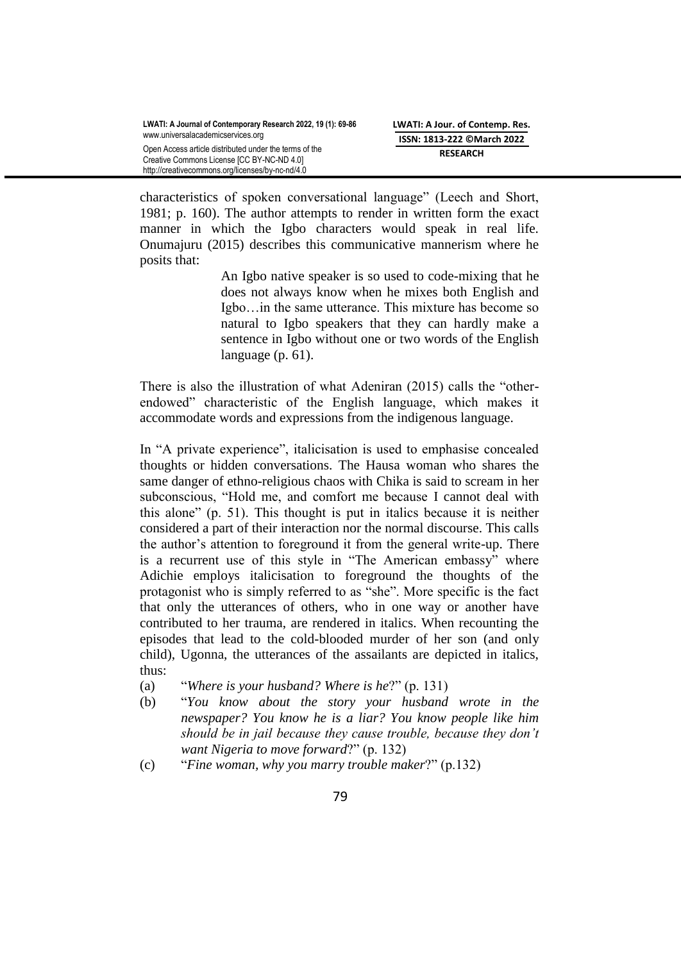characteristics of spoken conversational language" (Leech and Short, 1981; p. 160). The author attempts to render in written form the exact manner in which the Igbo characters would speak in real life. Onumajuru (2015) describes this communicative mannerism where he posits that:

> An Igbo native speaker is so used to code-mixing that he does not always know when he mixes both English and Igbo…in the same utterance. This mixture has become so natural to Igbo speakers that they can hardly make a sentence in Igbo without one or two words of the English language (p. 61).

There is also the illustration of what Adeniran (2015) calls the "otherendowed" characteristic of the English language, which makes it accommodate words and expressions from the indigenous language.

In "A private experience", italicisation is used to emphasise concealed thoughts or hidden conversations. The Hausa woman who shares the same danger of ethno-religious chaos with Chika is said to scream in her subconscious, "Hold me, and comfort me because I cannot deal with this alone" (p. 51). This thought is put in italics because it is neither considered a part of their interaction nor the normal discourse. This calls the author"s attention to foreground it from the general write-up. There is a recurrent use of this style in "The American embassy" where Adichie employs italicisation to foreground the thoughts of the protagonist who is simply referred to as "she". More specific is the fact that only the utterances of others, who in one way or another have contributed to her trauma, are rendered in italics. When recounting the episodes that lead to the cold-blooded murder of her son (and only child), Ugonna, the utterances of the assailants are depicted in italics, thus:

- (a) "*Where is your husband? Where is he*?" (p. 131)
- (b) "*You know about the story your husband wrote in the newspaper? You know he is a liar? You know people like him should be in jail because they cause trouble, because they don't want Nigeria to move forward*?" (p. 132)
- (c) "*Fine woman, why you marry trouble maker*?" (p.132)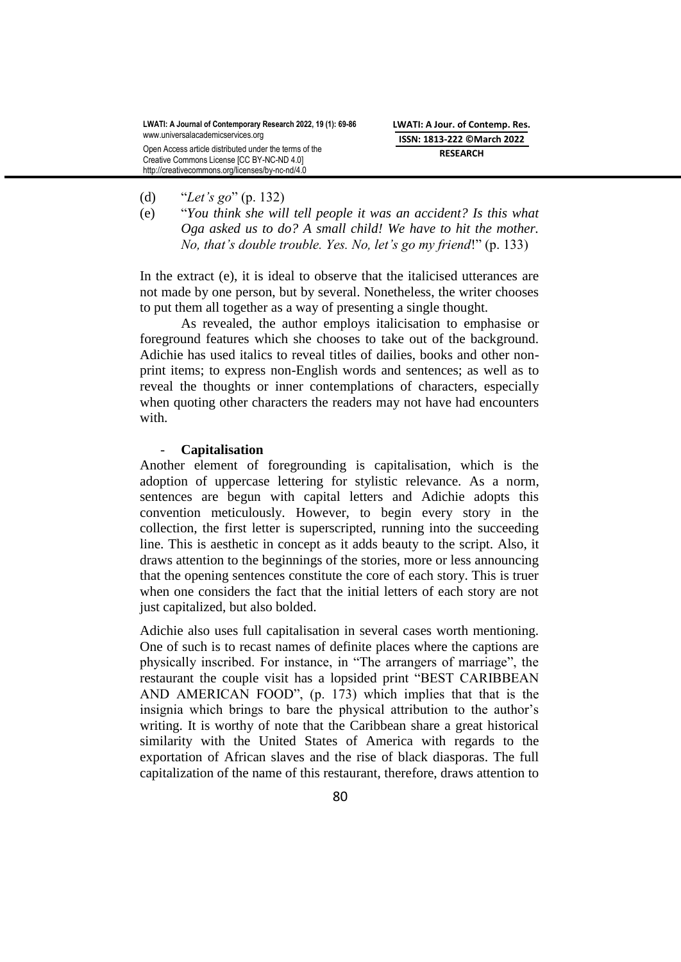- (d) "*Let's go*" (p. 132)
- (e) "*You think she will tell people it was an accident? Is this what Oga asked us to do? A small child! We have to hit the mother. No, that's double trouble. Yes. No, let's go my friend*!" (p. 133)

In the extract (e), it is ideal to observe that the italicised utterances are not made by one person, but by several. Nonetheless, the writer chooses to put them all together as a way of presenting a single thought.

As revealed, the author employs italicisation to emphasise or foreground features which she chooses to take out of the background. Adichie has used italics to reveal titles of dailies, books and other nonprint items; to express non-English words and sentences; as well as to reveal the thoughts or inner contemplations of characters, especially when quoting other characters the readers may not have had encounters with.

#### - **Capitalisation**

Another element of foregrounding is capitalisation, which is the adoption of uppercase lettering for stylistic relevance. As a norm, sentences are begun with capital letters and Adichie adopts this convention meticulously. However, to begin every story in the collection, the first letter is superscripted, running into the succeeding line. This is aesthetic in concept as it adds beauty to the script. Also, it draws attention to the beginnings of the stories, more or less announcing that the opening sentences constitute the core of each story. This is truer when one considers the fact that the initial letters of each story are not just capitalized, but also bolded.

Adichie also uses full capitalisation in several cases worth mentioning. One of such is to recast names of definite places where the captions are physically inscribed. For instance, in "The arrangers of marriage", the restaurant the couple visit has a lopsided print "BEST CARIBBEAN AND AMERICAN FOOD", (p. 173) which implies that that is the insignia which brings to bare the physical attribution to the author"s writing. It is worthy of note that the Caribbean share a great historical similarity with the United States of America with regards to the exportation of African slaves and the rise of black diasporas. The full capitalization of the name of this restaurant, therefore, draws attention to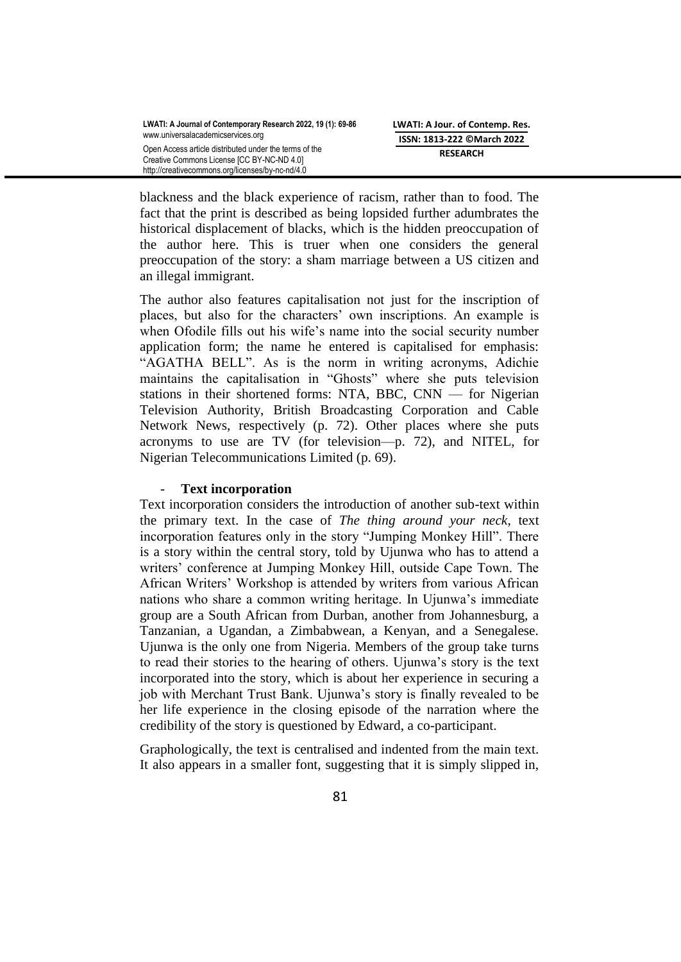blackness and the black experience of racism, rather than to food. The fact that the print is described as being lopsided further adumbrates the historical displacement of blacks, which is the hidden preoccupation of the author here. This is truer when one considers the general preoccupation of the story: a sham marriage between a US citizen and an illegal immigrant.

The author also features capitalisation not just for the inscription of places, but also for the characters" own inscriptions. An example is when Ofodile fills out his wife's name into the social security number application form; the name he entered is capitalised for emphasis: "AGATHA BELL". As is the norm in writing acronyms, Adichie maintains the capitalisation in "Ghosts" where she puts television stations in their shortened forms: NTA, BBC, CNN — for Nigerian Television Authority, British Broadcasting Corporation and Cable Network News, respectively (p. 72). Other places where she puts acronyms to use are TV (for television—p. 72), and NITEL, for Nigerian Telecommunications Limited (p. 69).

# - **Text incorporation**

Text incorporation considers the introduction of another sub-text within the primary text. In the case of *The thing around your neck*, text incorporation features only in the story "Jumping Monkey Hill". There is a story within the central story, told by Ujunwa who has to attend a writers" conference at Jumping Monkey Hill, outside Cape Town. The African Writers" Workshop is attended by writers from various African nations who share a common writing heritage. In Ujunwa"s immediate group are a South African from Durban, another from Johannesburg, a Tanzanian, a Ugandan, a Zimbabwean, a Kenyan, and a Senegalese. Ujunwa is the only one from Nigeria. Members of the group take turns to read their stories to the hearing of others. Ujunwa"s story is the text incorporated into the story, which is about her experience in securing a job with Merchant Trust Bank. Ujunwa"s story is finally revealed to be her life experience in the closing episode of the narration where the credibility of the story is questioned by Edward, a co-participant.

Graphologically, the text is centralised and indented from the main text. It also appears in a smaller font, suggesting that it is simply slipped in,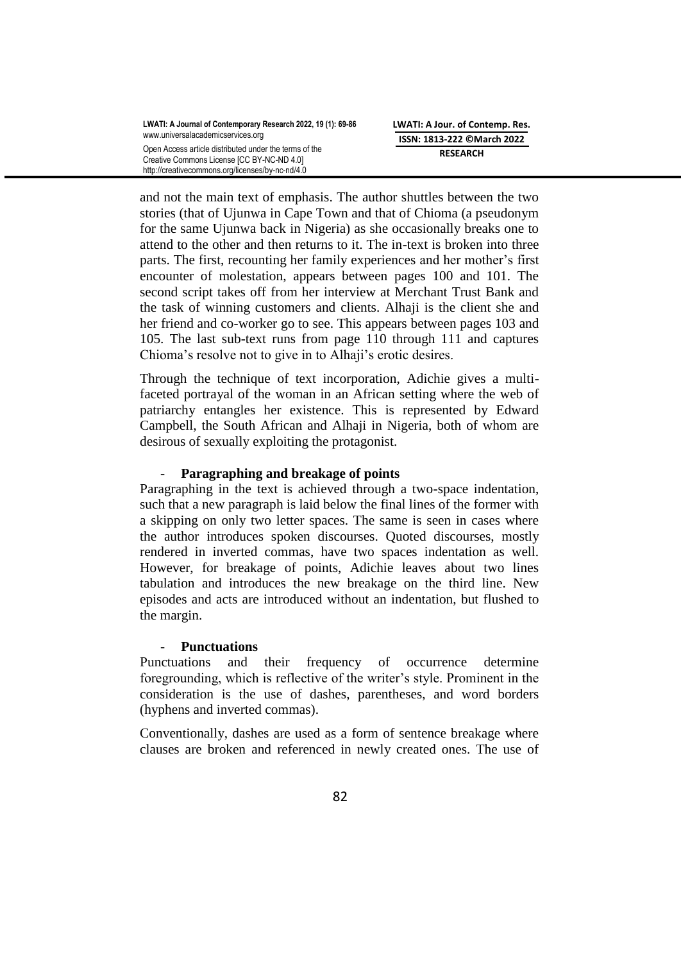and not the main text of emphasis. The author shuttles between the two stories (that of Ujunwa in Cape Town and that of Chioma (a pseudonym for the same Ujunwa back in Nigeria) as she occasionally breaks one to attend to the other and then returns to it. The in-text is broken into three parts. The first, recounting her family experiences and her mother"s first encounter of molestation, appears between pages 100 and 101. The second script takes off from her interview at Merchant Trust Bank and the task of winning customers and clients. Alhaji is the client she and her friend and co-worker go to see. This appears between pages 103 and 105. The last sub-text runs from page 110 through 111 and captures Chioma"s resolve not to give in to Alhaji"s erotic desires.

Through the technique of text incorporation, Adichie gives a multifaceted portrayal of the woman in an African setting where the web of patriarchy entangles her existence. This is represented by Edward Campbell, the South African and Alhaji in Nigeria, both of whom are desirous of sexually exploiting the protagonist.

# - **Paragraphing and breakage of points**

Paragraphing in the text is achieved through a two-space indentation, such that a new paragraph is laid below the final lines of the former with a skipping on only two letter spaces. The same is seen in cases where the author introduces spoken discourses. Quoted discourses, mostly rendered in inverted commas, have two spaces indentation as well. However, for breakage of points, Adichie leaves about two lines tabulation and introduces the new breakage on the third line. New episodes and acts are introduced without an indentation, but flushed to the margin.

# - **Punctuations**

Punctuations and their frequency of occurrence determine foregrounding, which is reflective of the writer"s style. Prominent in the consideration is the use of dashes, parentheses, and word borders (hyphens and inverted commas).

Conventionally, dashes are used as a form of sentence breakage where clauses are broken and referenced in newly created ones. The use of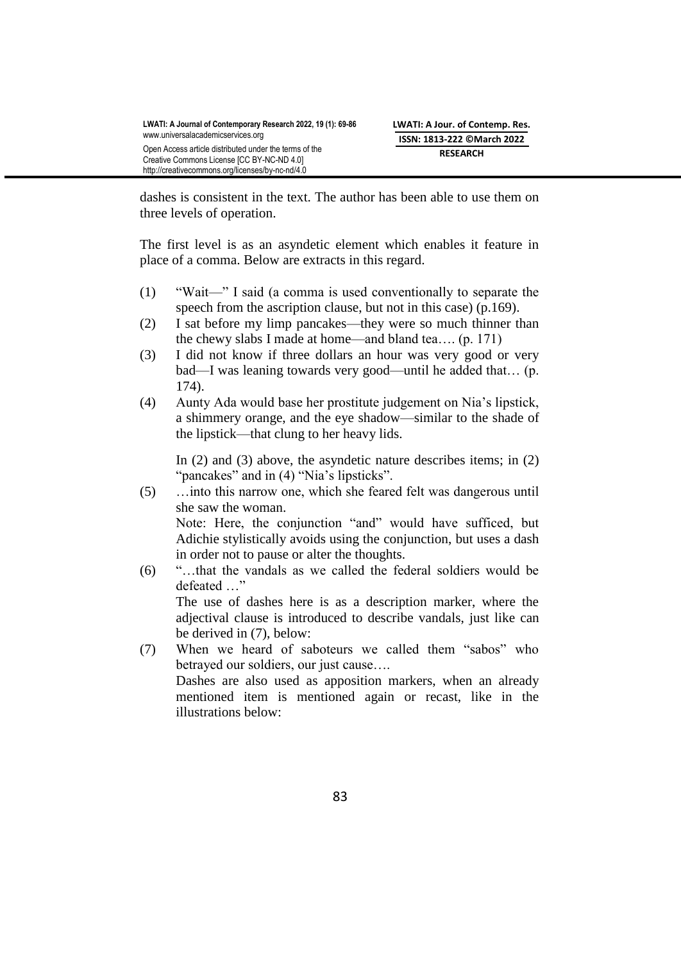dashes is consistent in the text. The author has been able to use them on three levels of operation.

The first level is as an asyndetic element which enables it feature in place of a comma. Below are extracts in this regard.

- (1) "Wait—" I said (a comma is used conventionally to separate the speech from the ascription clause, but not in this case) (p.169).
- (2) I sat before my limp pancakes—they were so much thinner than the chewy slabs I made at home—and bland tea…. (p. 171)
- (3) I did not know if three dollars an hour was very good or very bad—I was leaning towards very good—until he added that… (p. 174).
- (4) Aunty Ada would base her prostitute judgement on Nia"s lipstick, a shimmery orange, and the eye shadow—similar to the shade of the lipstick—that clung to her heavy lids.

In (2) and (3) above, the asyndetic nature describes items; in (2) "pancakes" and in (4) "Nia's lipsticks".

- (5) …into this narrow one, which she feared felt was dangerous until she saw the woman. Note: Here, the conjunction "and" would have sufficed, but Adichie stylistically avoids using the conjunction, but uses a dash in order not to pause or alter the thoughts.
- (6) "…that the vandals as we called the federal soldiers would be defeated …" The use of dashes here is as a description marker, where the adjectival clause is introduced to describe vandals, just like can be derived in (7), below:
- (7) When we heard of saboteurs we called them "sabos" who betrayed our soldiers, our just cause…. Dashes are also used as apposition markers, when an already mentioned item is mentioned again or recast, like in the illustrations below: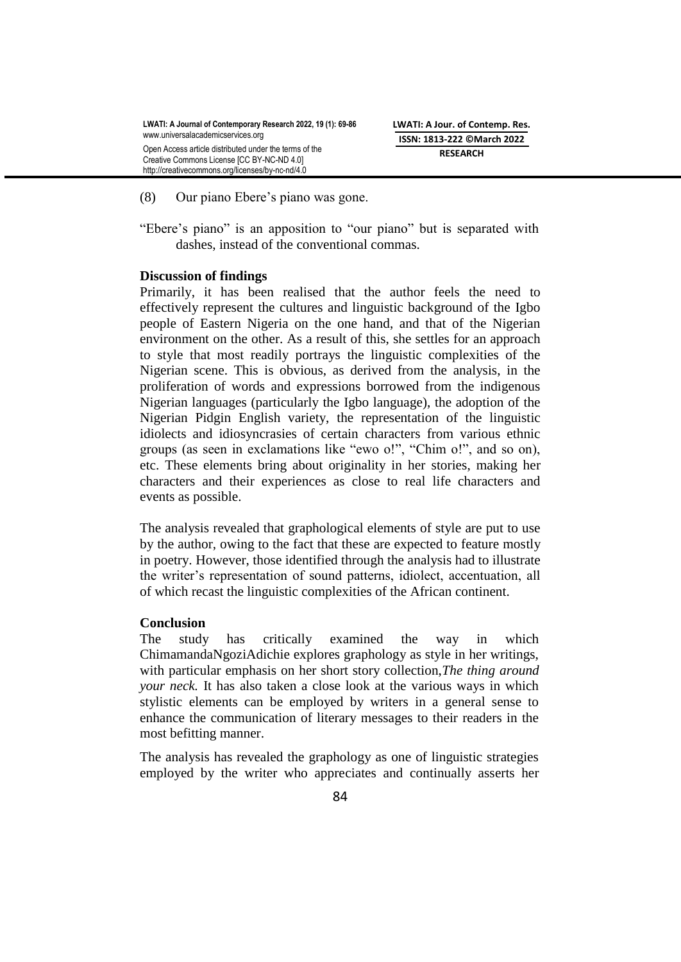- (8) Our piano Ebere"s piano was gone.
- "Ebere's piano" is an apposition to "our piano" but is separated with dashes, instead of the conventional commas.

#### **Discussion of findings**

Primarily, it has been realised that the author feels the need to effectively represent the cultures and linguistic background of the Igbo people of Eastern Nigeria on the one hand, and that of the Nigerian environment on the other. As a result of this, she settles for an approach to style that most readily portrays the linguistic complexities of the Nigerian scene. This is obvious, as derived from the analysis, in the proliferation of words and expressions borrowed from the indigenous Nigerian languages (particularly the Igbo language), the adoption of the Nigerian Pidgin English variety, the representation of the linguistic idiolects and idiosyncrasies of certain characters from various ethnic groups (as seen in exclamations like "ewo o!", "Chim o!", and so on), etc. These elements bring about originality in her stories, making her characters and their experiences as close to real life characters and events as possible.

The analysis revealed that graphological elements of style are put to use by the author, owing to the fact that these are expected to feature mostly in poetry. However, those identified through the analysis had to illustrate the writer"s representation of sound patterns, idiolect, accentuation, all of which recast the linguistic complexities of the African continent.

## **Conclusion**

The study has critically examined the way in which ChimamandaNgoziAdichie explores graphology as style in her writings, with particular emphasis on her short story collection,*The thing around your neck.* It has also taken a close look at the various ways in which stylistic elements can be employed by writers in a general sense to enhance the communication of literary messages to their readers in the most befitting manner.

The analysis has revealed the graphology as one of linguistic strategies employed by the writer who appreciates and continually asserts her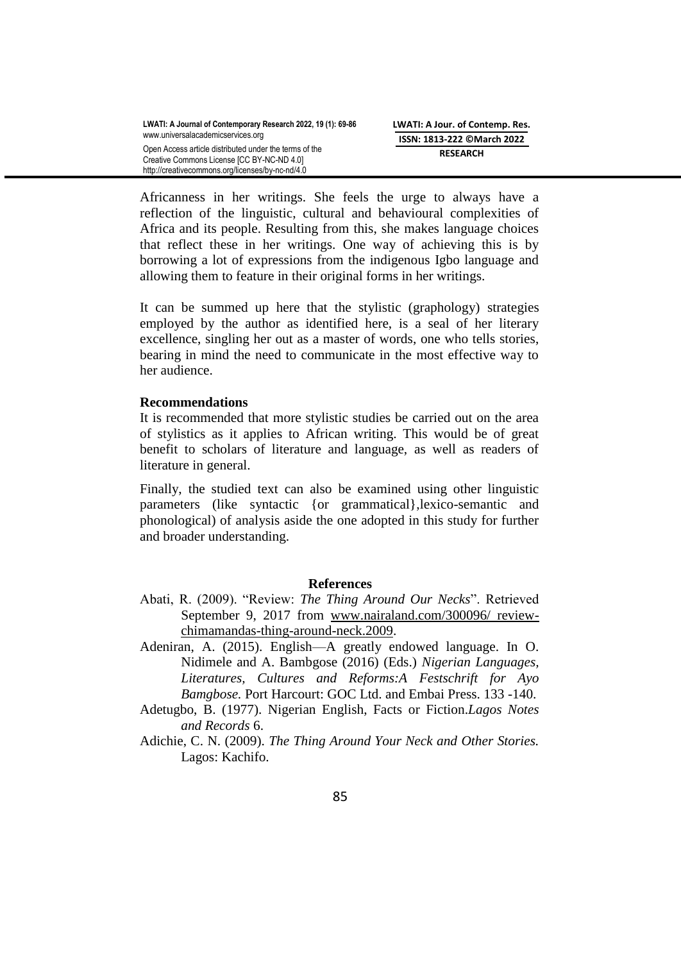Africanness in her writings. She feels the urge to always have a reflection of the linguistic, cultural and behavioural complexities of Africa and its people. Resulting from this, she makes language choices that reflect these in her writings. One way of achieving this is by borrowing a lot of expressions from the indigenous Igbo language and allowing them to feature in their original forms in her writings.

It can be summed up here that the stylistic (graphology) strategies employed by the author as identified here, is a seal of her literary excellence, singling her out as a master of words, one who tells stories, bearing in mind the need to communicate in the most effective way to her audience.

### **Recommendations**

It is recommended that more stylistic studies be carried out on the area of stylistics as it applies to African writing. This would be of great benefit to scholars of literature and language, as well as readers of literature in general.

Finally, the studied text can also be examined using other linguistic parameters (like syntactic {or grammatical},lexico-semantic and phonological) of analysis aside the one adopted in this study for further and broader understanding.

### **References**

- Abati, R. (2009). "Review: *The Thing Around Our Necks*". Retrieved September 9, 2017 from [www.nairaland.com/300096/ review](http://www.nairaland.com/300096/%20review-%20chimamandas-thing-around-neck.2009)[chimamandas-thing-around-neck.2009.](http://www.nairaland.com/300096/%20review-%20chimamandas-thing-around-neck.2009)
- Adeniran, A. (2015). English—A greatly endowed language. In O. Nidimele and A. Bambgose (2016) (Eds.) *Nigerian Languages, Literatures, Cultures and Reforms:A Festschrift for Ayo Bamgbose.* Port Harcourt: GOC Ltd. and Embai Press. 133 -140.
- Adetugbo, B. (1977). Nigerian English, Facts or Fiction.*Lagos Notes and Records* 6.
- Adichie, C. N. (2009). *The Thing Around Your Neck and Other Stories.*  Lagos: Kachifo.